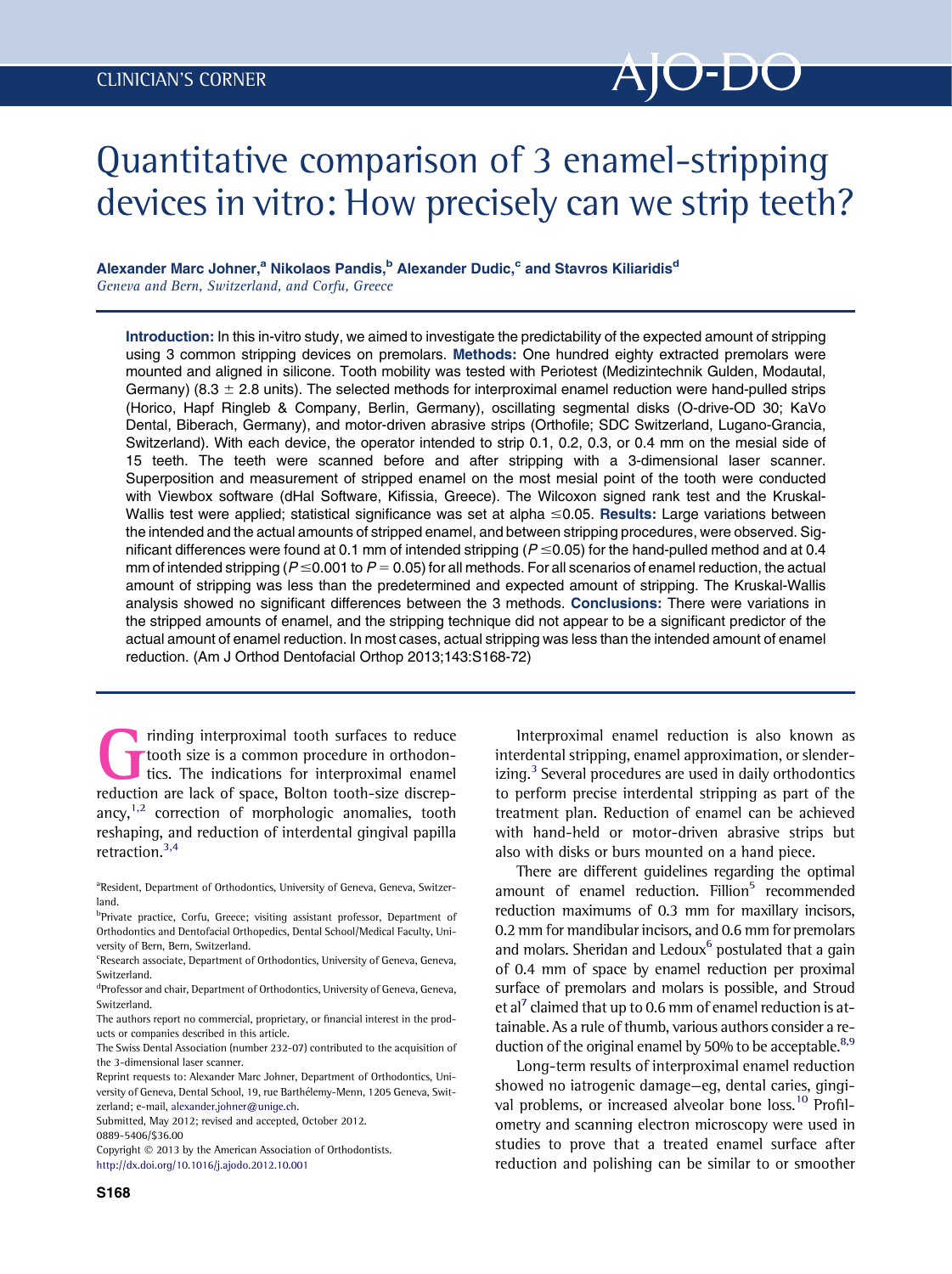# Quantitative comparison of 3 enamel-stripping devices in vitro: How precisely can we strip teeth?

## Alexander Marc Johner,<sup>a</sup> Nikolaos Pandis,<sup>b</sup> Alexander Dudic,<sup>c</sup> and Stavros Kiliaridis<sup>d</sup> Geneva and Bern, Switzerland, and Corfu, Greece

Introduction: In this in-vitro study, we aimed to investigate the predictability of the expected amount of stripping using 3 common stripping devices on premolars. Methods: One hundred eighty extracted premolars were mounted and aligned in silicone. Tooth mobility was tested with Periotest (Medizintechnik Gulden, Modautal, Germany) (8.3  $\pm$  2.8 units). The selected methods for interproximal enamel reduction were hand-pulled strips (Horico, Hapf Ringleb & Company, Berlin, Germany), oscillating segmental disks (O-drive-OD 30; KaVo Dental, Biberach, Germany), and motor-driven abrasive strips (Orthofile; SDC Switzerland, Lugano-Grancia, Switzerland). With each device, the operator intended to strip 0.1, 0.2, 0.3, or 0.4 mm on the mesial side of 15 teeth. The teeth were scanned before and after stripping with a 3-dimensional laser scanner. Superposition and measurement of stripped enamel on the most mesial point of the tooth were conducted with Viewbox software (dHal Software, Kifissia, Greece). The Wilcoxon signed rank test and the Kruskal-Wallis test were applied; statistical significance was set at alpha  $\leq$ 0.05. Results: Large variations between the intended and the actual amounts of stripped enamel, and between stripping procedures, were observed. Significant differences were found at 0.1 mm of intended stripping ( $P \le 0.05$ ) for the hand-pulled method and at 0.4 mm of intended stripping ( $P \le 0.001$  to  $P = 0.05$ ) for all methods. For all scenarios of enamel reduction, the actual amount of stripping was less than the predetermined and expected amount of stripping. The Kruskal-Wallis analysis showed no significant differences between the 3 methods. Conclusions: There were variations in the stripped amounts of enamel, and the stripping technique did not appear to be a significant predictor of the actual amount of enamel reduction. In most cases, actual stripping was less than the intended amount of enamel reduction. (Am J Orthod Dentofacial Orthop 2013;143:S168-72)

inding interproximal tooth surfaces to reduce tooth size is a common procedure in orthodontics. The indications for interproximal enamel reduction are lack of space, Bolton tooth-size discrepancy, $1,2$  correction of morphologic anomalies, tooth reshaping, and reduction of interdental gingival papilla retraction.[3,4](#page-4-0)

- <sup>a</sup>Resident, Department of Orthodontics, University of Geneva, Geneva, Switzerland.
- <sup>b</sup>Private practice, Corfu, Greece; visiting assistant professor, Department of Orthodontics and Dentofacial Orthopedics, Dental School/Medical Faculty, University of Bern, Bern, Switzerland.
- <sup>c</sup>Research associate, Department of Orthodontics, University of Geneva, Geneva, Switzerland.
- <sup>d</sup>Professor and chair, Department of Orthodontics, University of Geneva, Geneva, Switzerland.
- The authors report no commercial, proprietary, or financial interest in the products or companies described in this article.
- The Swiss Dental Association (number 232-07) contributed to the acquisition of the 3-dimensional laser scanner.
- Reprint requests to: Alexander Marc Johner, Department of Orthodontics, University of Geneva, Dental School, 19, rue Barthelemy-Menn, 1205 Geneva, Switzerland; e-mail, [alexander.johner@unige.ch](mailto:alexander.johner@unige.ch).

Submitted, May 2012; revised and accepted, October 2012. 0889-5406/\$36.00

Copyright  $©$  2013 by the American Association of Orthodontists. <http://dx.doi.org/10.1016/j.ajodo.2012.10.001>

Interproximal enamel reduction is also known as interdental stripping, enamel approximation, or slender-izing.<sup>[3](#page-4-0)</sup> Several procedures are used in daily orthodontics to perform precise interdental stripping as part of the treatment plan. Reduction of enamel can be achieved with hand-held or motor-driven abrasive strips but also with disks or burs mounted on a hand piece.

There are different guidelines regarding the optimal amount of enamel reduction. Fillion<sup>5</sup> recommended reduction maximums of 0.3 mm for maxillary incisors, 0.2 mm for mandibular incisors, and 0.6 mm for premolars and molars. Sheridan and Ledoux $6$  postulated that a gain of 0.4 mm of space by enamel reduction per proximal surface of premolars and molars is possible, and Stroud et al<sup>7</sup> claimed that up to 0.6 mm of enamel reduction is attainable. As a rule of thumb, various authors consider a reduction of the original enamel by 50% to be acceptable.<sup>8,9</sup>

Long-term results of interproximal enamel reduction showed no iatrogenic damage—eg, dental caries, gingi-val problems, or increased alveolar bone loss.<sup>[10](#page-4-0)</sup> Profilometry and scanning electron microscopy were used in studies to prove that a treated enamel surface after reduction and polishing can be similar to or smoother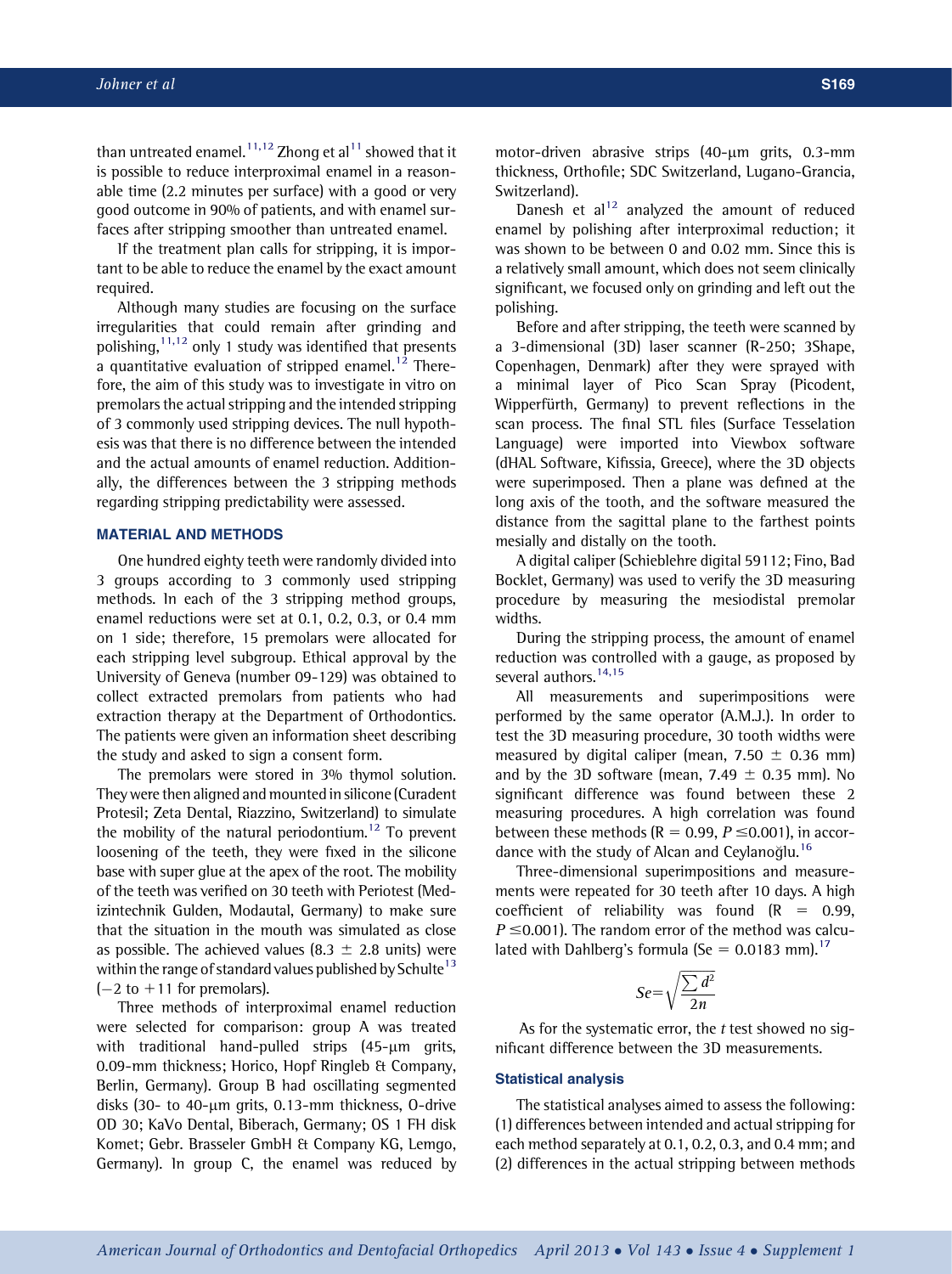than untreated enamel.<sup>[11,12](#page-4-0)</sup> Zhong et al<sup>[11](#page-4-0)</sup> showed that it is possible to reduce interproximal enamel in a reasonable time (2.2 minutes per surface) with a good or very good outcome in 90% of patients, and with enamel surfaces after stripping smoother than untreated enamel.

If the treatment plan calls for stripping, it is important to be able to reduce the enamel by the exact amount required.

Although many studies are focusing on the surface irregularities that could remain after grinding and polishing,  $11,12$  only 1 study was identified that presents a quantitative evaluation of stripped enamel.<sup>[12](#page-4-0)</sup> Therefore, the aim of this study was to investigate in vitro on premolars the actual stripping and the intended stripping of 3 commonly used stripping devices. The null hypothesis was that there is no difference between the intended and the actual amounts of enamel reduction. Additionally, the differences between the 3 stripping methods regarding stripping predictability were assessed.

#### MATERIAL AND METHODS

One hundred eighty teeth were randomly divided into 3 groups according to 3 commonly used stripping methods. In each of the 3 stripping method groups, enamel reductions were set at 0.1, 0.2, 0.3, or 0.4 mm on 1 side; therefore, 15 premolars were allocated for each stripping level subgroup. Ethical approval by the University of Geneva (number 09-129) was obtained to collect extracted premolars from patients who had extraction therapy at the Department of Orthodontics. The patients were given an information sheet describing the study and asked to sign a consent form.

The premolars were stored in 3% thymol solution. They were then aligned and mounted in silicone (Curadent Protesil; Zeta Dental, Riazzino, Switzerland) to simulate the mobility of the natural periodontium.<sup>12</sup> To prevent loosening of the teeth, they were fixed in the silicone base with super glue at the apex of the root. The mobility of the teeth was verified on 30 teeth with Periotest (Medizintechnik Gulden, Modautal, Germany) to make sure that the situation in the mouth was simulated as close as possible. The achieved values (8.3  $\pm$  2.8 units) were within the range of standard values published by Schulte<sup>13</sup>  $(-2$  to  $+11$  for premolars).

Three methods of interproximal enamel reduction were selected for comparison: group A was treated with traditional hand-pulled strips  $(45-\mu m)$  grits, 0.09-mm thickness; Horico, Hopf Ringleb & Company, Berlin, Germany). Group B had oscillating segmented disks (30- to 40-um grits, 0.13-mm thickness, 0-drive OD 30; KaVo Dental, Biberach, Germany; OS 1 FH disk Komet; Gebr. Brasseler GmbH & Company KG, Lemgo, Germany). In group C, the enamel was reduced by motor-driven abrasive strips  $(40-\mu m)$  grits,  $0.3-mm$ thickness, Orthofile; SDC Switzerland, Lugano-Grancia, Switzerland).

Danesh et  $al<sup>12</sup>$  $al<sup>12</sup>$  $al<sup>12</sup>$  analyzed the amount of reduced enamel by polishing after interproximal reduction; it was shown to be between 0 and 0.02 mm. Since this is a relatively small amount, which does not seem clinically significant, we focused only on grinding and left out the polishing.

Before and after stripping, the teeth were scanned by a 3-dimensional (3D) laser scanner (R-250; 3Shape, Copenhagen, Denmark) after they were sprayed with a minimal layer of Pico Scan Spray (Picodent, Wipperfürth, Germany) to prevent reflections in the scan process. The final STL files (Surface Tesselation Language) were imported into Viewbox software (dHAL Software, Kifissia, Greece), where the 3D objects were superimposed. Then a plane was defined at the long axis of the tooth, and the software measured the distance from the sagittal plane to the farthest points mesially and distally on the tooth.

A digital caliper (Schieblehre digital 59112; Fino, Bad Bocklet, Germany) was used to verify the 3D measuring procedure by measuring the mesiodistal premolar widths.

During the stripping process, the amount of enamel reduction was controlled with a gauge, as proposed by several authors.<sup>[14,15](#page-4-0)</sup>

All measurements and superimpositions were performed by the same operator (A.M.J.). In order to test the 3D measuring procedure, 30 tooth widths were measured by digital caliper (mean, 7.50  $\pm$  0.36 mm) and by the 3D software (mean, 7.49  $\pm$  0.35 mm). No significant difference was found between these 2 measuring procedures. A high correlation was found between these methods ( $R = 0.99$ ,  $P \le 0.001$ ), in accor-dance with the study of Alcan and Ceylanoğlu.<sup>[16](#page-4-0)</sup>

Three-dimensional superimpositions and measurements were repeated for 30 teeth after 10 days. A high coefficient of reliability was found  $(R = 0.99,$  $P \le 0.001$ ). The random error of the method was calculated with Dahlberg's formula (Se =  $0.0183$  mm).<sup>[17](#page-4-0)</sup>

$$
Se = \sqrt{\frac{\sum d^2}{2n}}
$$

As for the systematic error, the  $t$  test showed no significant difference between the 3D measurements.

#### Statistical analysis

The statistical analyses aimed to assess the following: (1) differences between intended and actual stripping for each method separately at 0.1, 0.2, 0.3, and 0.4 mm; and (2) differences in the actual stripping between methods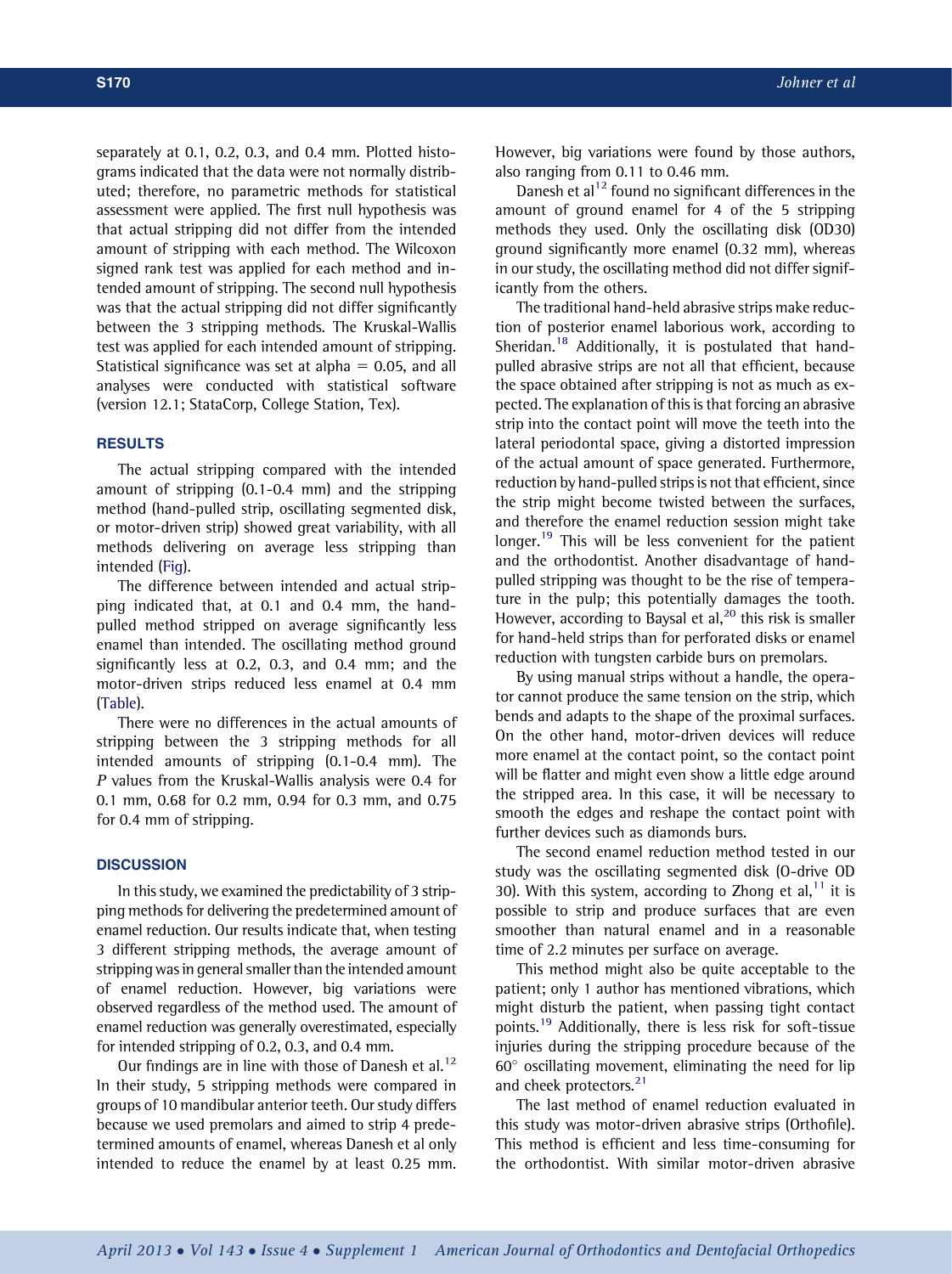separately at 0.1, 0.2, 0.3, and 0.4 mm. Plotted histograms indicated that the data were not normally distributed; therefore, no parametric methods for statistical assessment were applied. The first null hypothesis was that actual stripping did not differ from the intended amount of stripping with each method. The Wilcoxon signed rank test was applied for each method and intended amount of stripping. The second null hypothesis was that the actual stripping did not differ significantly between the 3 stripping methods. The Kruskal-Wallis test was applied for each intended amount of stripping. Statistical significance was set at alpha  $= 0.05$ , and all analyses were conducted with statistical software (version 12.1; StataCorp, College Station, Tex).

#### RESULTS

The actual stripping compared with the intended amount of stripping (0.1-0.4 mm) and the stripping method (hand-pulled strip, oscillating segmented disk, or motor-driven strip) showed great variability, with all methods delivering on average less stripping than intended ([Fig](#page-3-0)).

The difference between intended and actual stripping indicated that, at 0.1 and 0.4 mm, the handpulled method stripped on average significantly less enamel than intended. The oscillating method ground significantly less at 0.2, 0.3, and 0.4 mm; and the motor-driven strips reduced less enamel at 0.4 mm [\(Table\)](#page-3-0).

There were no differences in the actual amounts of stripping between the 3 stripping methods for all intended amounts of stripping (0.1-0.4 mm). The P values from the Kruskal-Wallis analysis were 0.4 for 0.1 mm, 0.68 for 0.2 mm, 0.94 for 0.3 mm, and 0.75 for 0.4 mm of stripping.

#### **DISCUSSION**

In this study, we examined the predictability of 3 stripping methods for delivering the predetermined amount of enamel reduction. Our results indicate that, when testing 3 different stripping methods, the average amount of stripping was in general smaller than the intended amount of enamel reduction. However, big variations were observed regardless of the method used. The amount of enamel reduction was generally overestimated, especially for intended stripping of 0.2, 0.3, and 0.4 mm.

Our findings are in line with those of Danesh et al.<sup>[12](#page-4-0)</sup> In their study, 5 stripping methods were compared in groups of 10 mandibular anterior teeth. Our study differs because we used premolars and aimed to strip 4 predetermined amounts of enamel, whereas Danesh et al only intended to reduce the enamel by at least 0.25 mm. However, big variations were found by those authors, also ranging from 0.11 to 0.46 mm.

Danesh et al<sup>[12](#page-4-0)</sup> found no significant differences in the amount of ground enamel for 4 of the 5 stripping methods they used. Only the oscillating disk (OD30) ground significantly more enamel (0.32 mm), whereas in our study, the oscillating method did not differ significantly from the others.

The traditional hand-held abrasive strips make reduction of posterior enamel laborious work, according to Sheridan.<sup>[18](#page-4-0)</sup> Additionally, it is postulated that handpulled abrasive strips are not all that efficient, because the space obtained after stripping is not as much as expected. The explanation of this is that forcing an abrasive strip into the contact point will move the teeth into the lateral periodontal space, giving a distorted impression of the actual amount of space generated. Furthermore, reduction by hand-pulled strips is not that efficient, since the strip might become twisted between the surfaces, and therefore the enamel reduction session might take longer.<sup>[19](#page-4-0)</sup> This will be less convenient for the patient and the orthodontist. Another disadvantage of handpulled stripping was thought to be the rise of temperature in the pulp; this potentially damages the tooth. However, according to Baysal et al, $^{20}$  $^{20}$  $^{20}$  this risk is smaller for hand-held strips than for perforated disks or enamel reduction with tungsten carbide burs on premolars.

By using manual strips without a handle, the operator cannot produce the same tension on the strip, which bends and adapts to the shape of the proximal surfaces. On the other hand, motor-driven devices will reduce more enamel at the contact point, so the contact point will be flatter and might even show a little edge around the stripped area. In this case, it will be necessary to smooth the edges and reshape the contact point with further devices such as diamonds burs.

The second enamel reduction method tested in our study was the oscillating segmented disk (O-drive OD 30). With this system, according to Zhong et al, $<sup>11</sup>$  $<sup>11</sup>$  $<sup>11</sup>$  it is</sup> possible to strip and produce surfaces that are even smoother than natural enamel and in a reasonable time of 2.2 minutes per surface on average.

This method might also be quite acceptable to the patient; only 1 author has mentioned vibrations, which might disturb the patient, when passing tight contact points.[19](#page-4-0) Additionally, there is less risk for soft-tissue injuries during the stripping procedure because of the  $60^\circ$  oscillating movement, eliminating the need for lip and cheek protectors.<sup>[21](#page-4-0)</sup>

The last method of enamel reduction evaluated in this study was motor-driven abrasive strips (Orthofile). This method is efficient and less time-consuming for the orthodontist. With similar motor-driven abrasive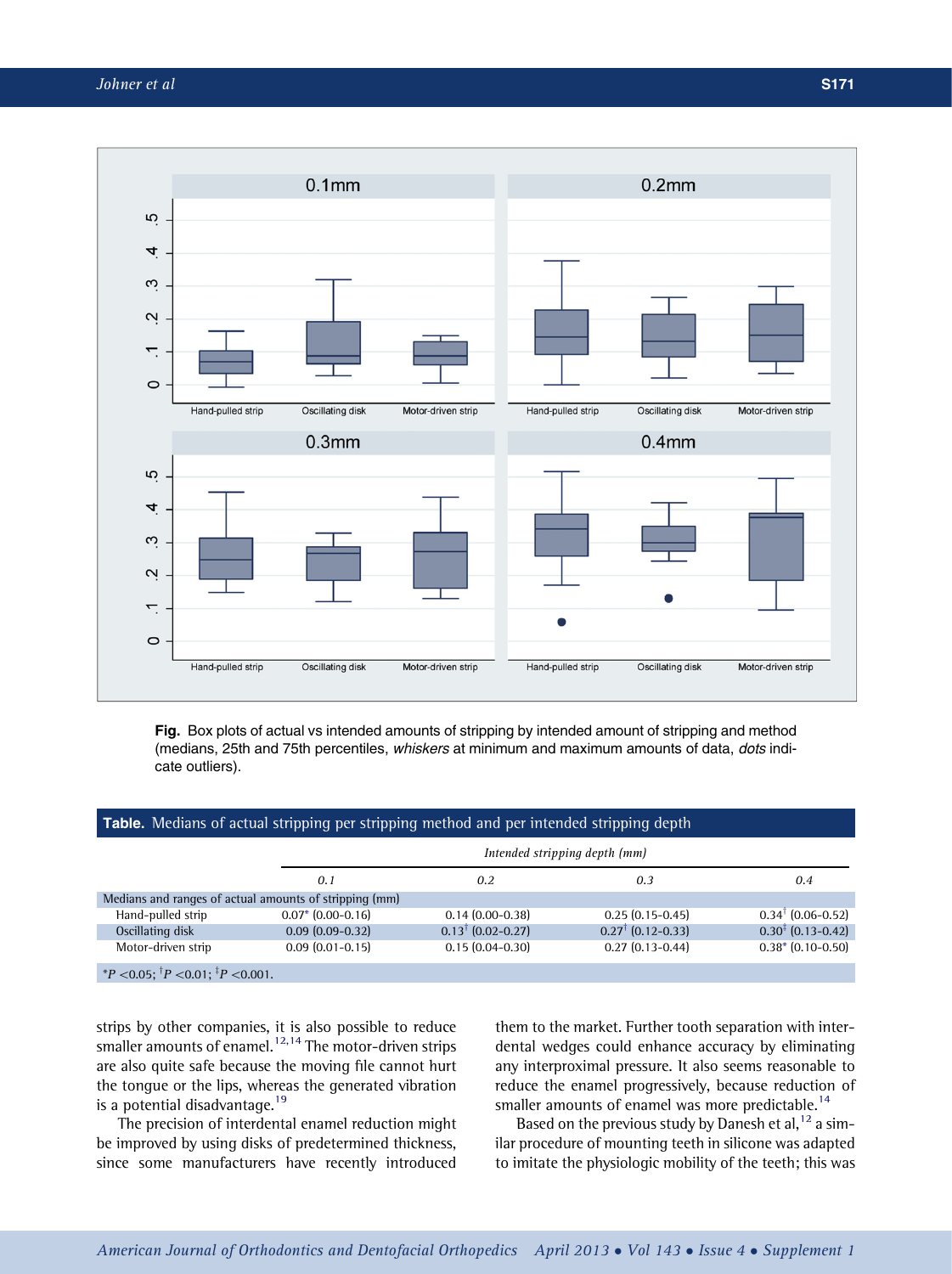<span id="page-3-0"></span>

Fig. Box plots of actual vs intended amounts of stripping by intended amount of stripping and method (medians, 25th and 75th percentiles, whiskers at minimum and maximum amounts of data, dots indicate outliers).

## Table. Medians of actual stripping per stripping method and per intended stripping depth

| Intended stripping depth (mm)                          |                              |                              |                               |
|--------------------------------------------------------|------------------------------|------------------------------|-------------------------------|
| 0.1                                                    | 0.2                          | 0.3                          | 0.4                           |
| Medians and ranges of actual amounts of stripping (mm) |                              |                              |                               |
| $0.07*$ (0.00-0.16)                                    | $0.14(0.00-0.38)$            | $0.25(0.15-0.45)$            | $0.34^{\dagger}$ (0.06-0.52)  |
| $0.09(0.09-0.32)$                                      | $0.13^{\dagger}$ (0.02-0.27) | $0.27^{\dagger}$ (0.12-0.33) | $0.30^{\ddagger}$ (0.13-0.42) |
| $0.09(0.01-0.15)$                                      | $0.15(0.04-0.30)$            | $0.27(0.13 - 0.44)$          | $0.38*(0.10-0.50)$            |
|                                                        |                              |                              |                               |

 $P^*P < 0.05$ ;  ${}^{\top}P < 0.01$ ;  ${}^{\top}P < 0.001$ .

strips by other companies, it is also possible to reduce strips  $s_j$  once companies, it is also possible to reader are also quite safe because the moving file cannot hurt the tongue or the lips, whereas the generated vibration is a potential disadvantage.<sup>[19](#page-4-0)</sup>

The precision of interdental enamel reduction might be improved by using disks of predetermined thickness, since some manufacturers have recently introduced them to the market. Further tooth separation with interdental wedges could enhance accuracy by eliminating any interproximal pressure. It also seems reasonable to reduce the enamel progressively, because reduction of smaller amounts of enamel was more predictable.<sup>[14](#page-4-0)</sup>

Based on the previous study by Danesh et al,  $12$  a similar procedure of mounting teeth in silicone was adapted to imitate the physiologic mobility of the teeth; this was